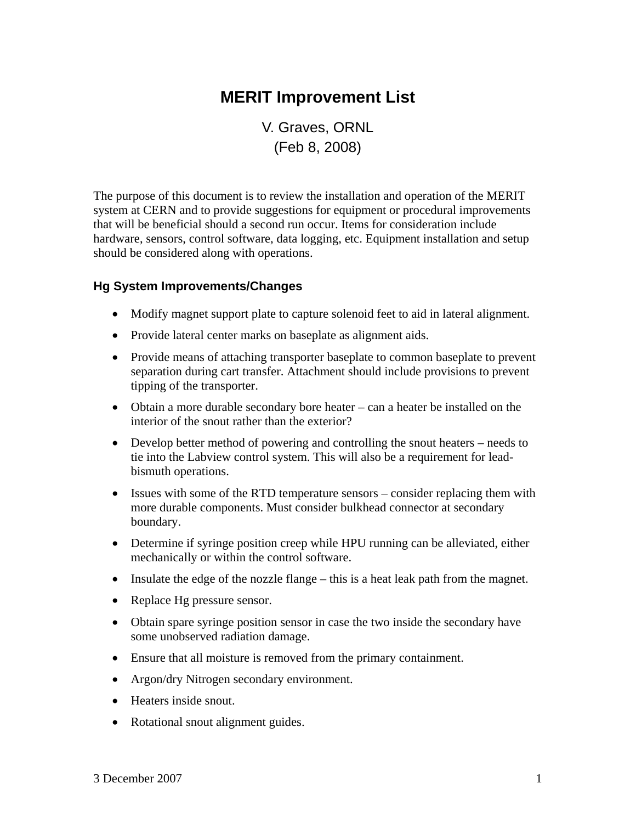# **MERIT Improvement List**

V. Graves, ORNL (Feb 8, 2008)

The purpose of this document is to review the installation and operation of the MERIT system at CERN and to provide suggestions for equipment or procedural improvements that will be beneficial should a second run occur. Items for consideration include hardware, sensors, control software, data logging, etc. Equipment installation and setup should be considered along with operations.

## **Hg System Improvements/Changes**

- Modify magnet support plate to capture solenoid feet to aid in lateral alignment.
- Provide lateral center marks on baseplate as alignment aids.
- Provide means of attaching transporter baseplate to common baseplate to prevent separation during cart transfer. Attachment should include provisions to prevent tipping of the transporter.
- Obtain a more durable secondary bore heater can a heater be installed on the interior of the snout rather than the exterior?
- Develop better method of powering and controlling the snout heaters needs to tie into the Labview control system. This will also be a requirement for leadbismuth operations.
- Issues with some of the RTD temperature sensors consider replacing them with more durable components. Must consider bulkhead connector at secondary boundary.
- Determine if syringe position creep while HPU running can be alleviated, either mechanically or within the control software.
- Insulate the edge of the nozzle flange this is a heat leak path from the magnet.
- Replace Hg pressure sensor.
- Obtain spare syringe position sensor in case the two inside the secondary have some unobserved radiation damage.
- Ensure that all moisture is removed from the primary containment.
- Argon/dry Nitrogen secondary environment.
- Heaters inside snout.
- Rotational snout alignment guides.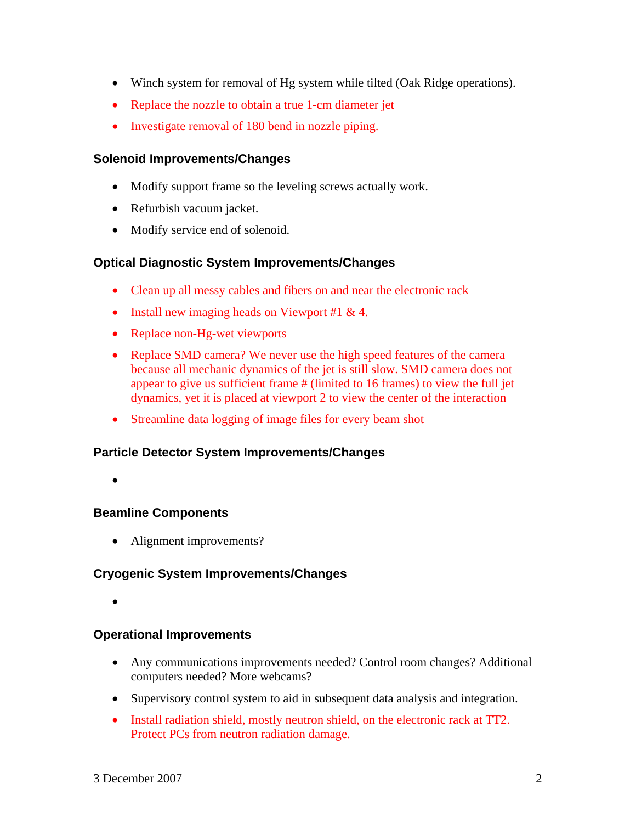- Winch system for removal of Hg system while tilted (Oak Ridge operations).
- Replace the nozzle to obtain a true 1-cm diameter jet
- Investigate removal of 180 bend in nozzle piping.

## **Solenoid Improvements/Changes**

- Modify support frame so the leveling screws actually work.
- Refurbish vacuum jacket.
- Modify service end of solenoid.

## **Optical Diagnostic System Improvements/Changes**

- Clean up all messy cables and fibers on and near the electronic rack
- Install new imaging heads on Viewport #1 & 4.
- Replace non-Hg-wet viewports
- Replace SMD camera? We never use the high speed features of the camera because all mechanic dynamics of the jet is still slow. SMD camera does not appear to give us sufficient frame # (limited to 16 frames) to view the full jet dynamics, yet it is placed at viewport 2 to view the center of the interaction
- Streamline data logging of image files for every beam shot

## **Particle Detector System Improvements/Changes**

•

## **Beamline Components**

• Alignment improvements?

## **Cryogenic System Improvements/Changes**

•

## **Operational Improvements**

- Any communications improvements needed? Control room changes? Additional computers needed? More webcams?
- Supervisory control system to aid in subsequent data analysis and integration.
- Install radiation shield, mostly neutron shield, on the electronic rack at TT2. Protect PCs from neutron radiation damage.